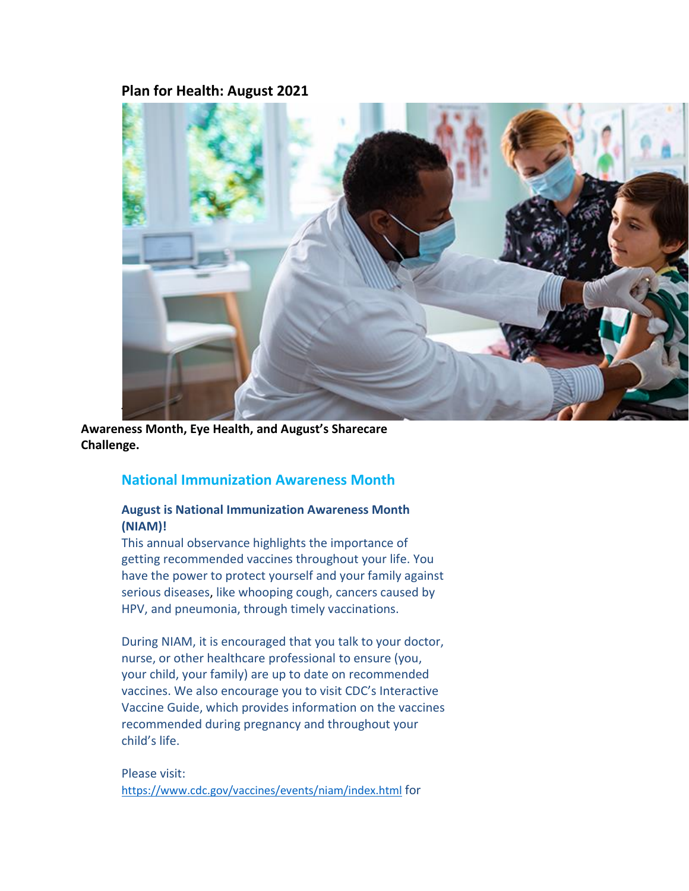# **Plan for Health: August 2021**



**Awareness Month, Eye Health, and August's Sharecare Challenge.**

## **National Immunization Awareness Month**

### **August is National Immunization Awareness Month (NIAM)!**

This annual observance highlights the importance of getting recommended vaccines throughout your life. You have the power to protect yourself and your family against serious diseases, like whooping cough, cancers caused by HPV, and pneumonia, through timely vaccinations.

During NIAM, it is encouraged that you talk to your doctor, nurse, or other healthcare professional to ensure (you, your child, your family) are up to date on recommended vaccines. We also encourage you to visit CDC's Interactive Vaccine Guide, which provides information on the vaccines recommended during pregnancy and throughout your child's life.

Please visit: <https://www.cdc.gov/vaccines/events/niam/index.html> for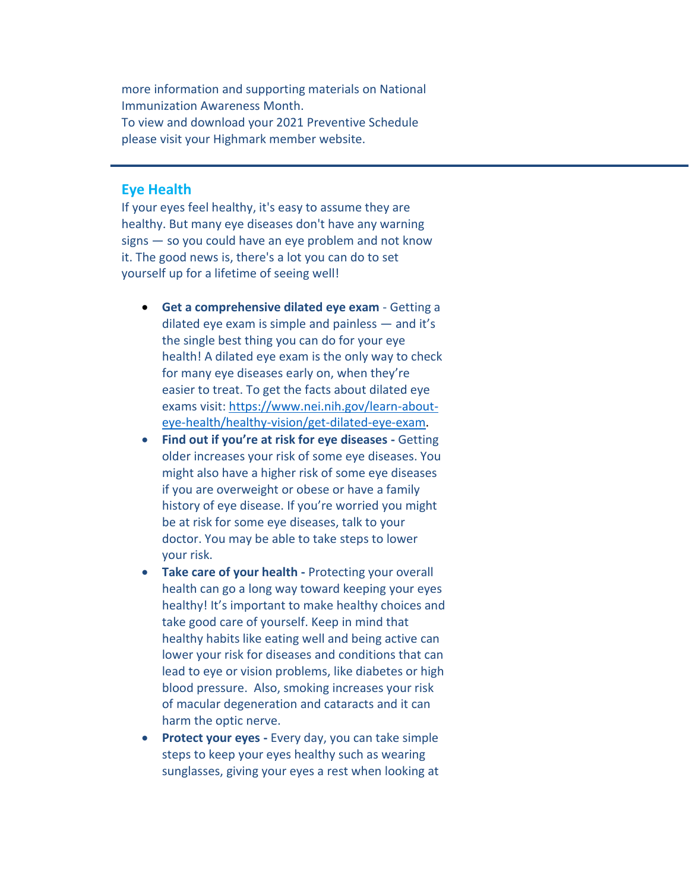more information and supporting materials on National Immunization Awareness Month. To view and download your 2021 Preventive Schedule please visit your Highmark member website.

#### **Eye Health**

If your eyes feel healthy, it's easy to assume they are healthy. But many eye diseases don't have any warning signs — so you could have an eye problem and not know it. The good news is, there's a lot you can do to set yourself up for a lifetime of seeing well!

- **Get a comprehensive dilated eye exam** Getting a dilated eye exam is simple and painless — and it's the single best thing you can do for your eye health! A dilated eye exam is the only way to check for many eye diseases early on, when they're easier to treat. To get the facts about dilated eye exams visit: [https://www.nei.nih.gov/learn-about](https://www.nei.nih.gov/learn-about-eye-health/healthy-vision/get-dilated-eye-exam)[eye-health/healthy-vision/get-dilated-eye-exam.](https://www.nei.nih.gov/learn-about-eye-health/healthy-vision/get-dilated-eye-exam)
- **Find out if you're at risk for eye diseases -** Getting older increases your risk of some eye diseases. You might also have a higher risk of some eye diseases if you are overweight or obese or have a family history of eye disease. If you're worried you might be at risk for some eye diseases, talk to your doctor. You may be able to take steps to lower your risk.
- **Take care of your health -** Protecting your overall health can go a long way toward keeping your eyes healthy! It's important to make healthy choices and take good care of yourself. Keep in mind that healthy habits like eating well and being active can lower your risk for diseases and conditions that can lead to eye or vision problems, like diabetes or high blood pressure. Also, smoking increases your risk of macular degeneration and cataracts and it can harm the optic nerve.
- **Protect your eyes -** Every day, you can take simple steps to keep your eyes healthy such as wearing sunglasses, giving your eyes a rest when looking at